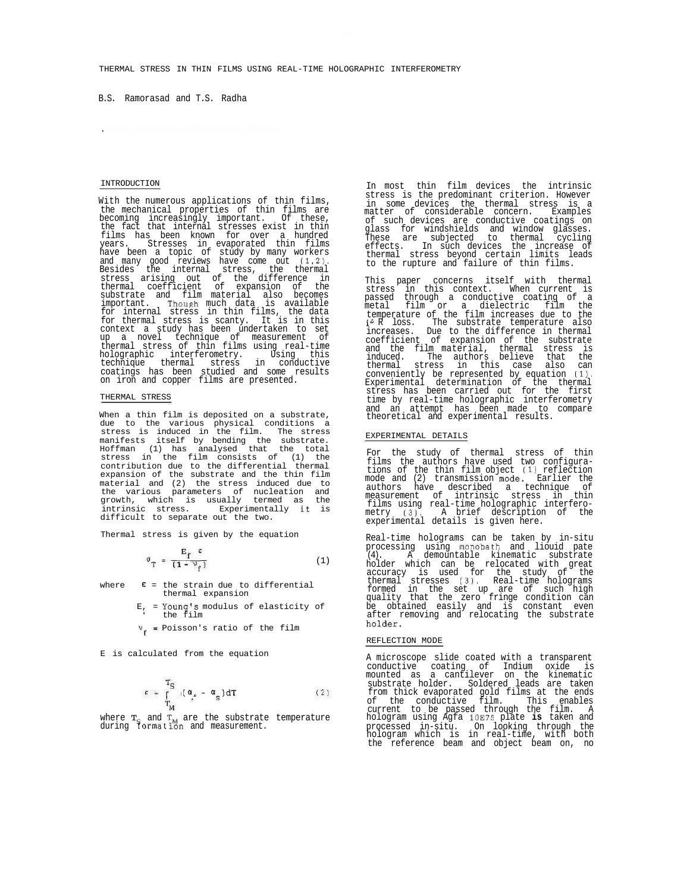B.S. Ramorasad and T.S. Radha

### INTRODUCTION

.

With the numerous applications of thin films, the mechanical properties of thin films are becoming increasingly important. Of these, the fact that internal stresses exist in thin films has been known for over a hundred years. Stresses in evaporated thin films have been a topic of study by many workers and many good reviews have come out (1,2), Besides the internal stress, the thermal stress arising out of the difference in thermal coefficient of expansion of the substrate and film material also becomes important. Thouph much data is available for internal stress in thin films, the data for thermal stress is scanty. It is in this context a study has been undertaken to set<br>tup a novel technique of measurement of<br>thermal stress of thin films using real-time<br>holographic interferometry. Using this<br>technique thermal stress in conductive<br>coatings has bee on iron and copper films are presented.

#### THERMAL STRESS

When a thin film is deposited on a substrate, due to the various physical conditions a stress is induced in the film. The stress manifests itself by bending the substrate. Hoffman (1) has analysed that the total stress in the film consists of (1) the contribution due to the differential thermal expansion of the substrate and the thin film material and (2) the stress induced due to the various parameters of nucleation and growth, which is usually termed as the intrinsic stress. Experimentally It is difficult to separate out the two.

Thermal stress is given by the equation

$$
\sigma_{\mathbf{T}} = \frac{\mathbf{E}_{\mathbf{f}} \epsilon}{(1 - \nu_{\mathbf{f}})}
$$
 (1)

where  $E =$  the strain due to differential thermal expansion

E, = Young's modulus of elasticity of the film

 $v_f$  = Poisson's ratio of the film

E is calculated from the equation

$$
\varepsilon = \int_{T_M}^{T_S} \left[ \left( \frac{\alpha_s}{t} - \frac{\alpha_g}{t} \right) dT \right] \tag{2}
$$

where T<sub>S</sub> and T<sub>M</sub> are the substrate temperature<br>during tormation and measurement.

In most thin film devices the intrinsic stress is the predominant criterion. However in some devices the thermal stress is a matter of considerable concern. Examples of such devices are conductive coatings on glass for windshields and window glasses. These are subjected to thermal cycling effects. In such devices the increase of thermal stress beyond certain limits leads to the rupture and failure of thin films.

This paper concerns itself with thermal stress in this context. When current is passed through a conductive coating of a metal film or a dielectric film the temperature of the film increases due to the  $i^2$  R loss. The substrate temperature also increases. Due to the difference in thermal coefficient of expansion of the substrate and the film material, thermal stress is indu stress has been carried out for the first time by real-time holographic interferometry and an attempt has been made to compare theoretical and experimental results.

### EXPERIMENTAL DETAILS

For the study of thermal stress of thin films the authors have used two configura-tions of the thin film object (1) reflection mode and (2) transmission mode. Earlier the authors have described a technique of measurement of intrinsic stress in thin films using real-time holographic interfero-metry (3). A brief description of the experimental details is given here.

Real-time holograms can be taken by in-situ processing using monobath and liouid pate  $(4)$  a demountable kinematic substrate (4). A demountable kinematic substrate<br>holder which can be relocated with great<br>accuracy is used for the study of the<br>thermal stresses (3). Real-time holograms<br>formed in the set up are of such high<br>quality that the zero fr holder.

## REFLECTION MODE

A microscope slide coated with a transparent conductive coating of Indium oxide is<br>mounted as a cantilever on the kinematic<br>substrate holder. Soldered leads are taken<br>from thick evaporated gold films at the ends<br>of the conductive film. This enables<br>current to be pass processed in-situ. On looking through the hologram which is in real-time, with both the reference beam and object beam on, no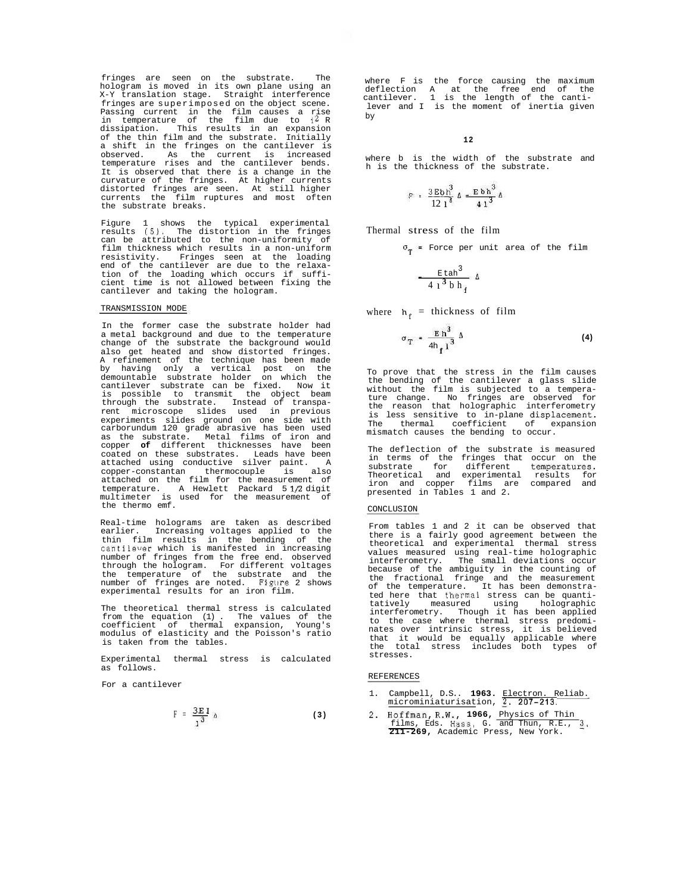fringes are seen on the substrate. The hologram is moved in its own plane using an X-Y translation stage. Straight interference fringes are superimposed on the object scene. Passing current in the film causes a rise<br>in temperature of the film due to  $i^2$  R dissipation. This results in an expansion of the thin film and the substrate. Initially a shift in the fringes on the cantilever is<br>observed. As the current is increased observed. As the current is increased temperature rises and the cantilever bends. It is observed that there is a change in the curvature of the fringes. At higher currents distorted fringes are seen. At still higher currents the film ruptures and most often the substrate breaks.

Figure 1 shows the typical experimental results (5). The distortion in the fringes can be attributed to the non-uniformity of film thickness which results in a non-uniform resistivity. Fringes seen at the loading end of the cantilever are due to the relaxation of the loading which occurs if suffi-cient time is not allowed between fixing the cantilever and taking the hologram.

## TRANSMISSION MODE

In the former case the substrate holder had a metal background and due to the temperature change of the substrate the background would also get heated and show distorted fringes. A refinement of the technique has been made by having only a vertical post on the demountable substrate holder on which the cantilever substrate can be fixed. Now it is possible to transmit the object beam through the substrate. Instead of transpa-rent microscope slides used in previous experiments slides ground on one side with carborundum 120 grade abrasive has been used as the substrate. Metal films of iron and copper **of** different thicknesses have been coated on these substrates. Leads have been attached using conductive silver paint. A copper-constantan thermocouple is also copper-constantan thermocouple is also<br>attached on the film for the measurement of temperature. A Hewlett Packard 5 1/2 digit multimeter is used for the measurement of the thermo emf.

Real-time holograms are taken as described earlier. Increasing voltages applied to the thin film results in the bending of the cantilever which is manifested in increasing number of fringes from the free end. observed<br>through the hologram. For different voltages through the hologram. For different voltages the temperature of the substrate and the number of fringes are noted. Figure 2 shows experimental results for an iron film.

The theoretical thermal stress is calculated from the equation (1) . The values of the coefficient of thermal expansion, Young's modulus of elasticity and the Poisson's ratio is taken from the tables.

Experimental thermal stress is calculated as follows.

For a cantilever

$$
F = \frac{3E I}{1^3} \Delta \tag{3}
$$

where F is the force causing the maximum deflection A at the free end of the cantilever. 1 is the length of the cantilever and I is the moment of inertia given by

## **12**

where b is the width of the substrate and h is the thickness of the substrate.

$$
\mathbb{P} = \frac{3 \text{ Bb} \text{h}^3}{12 \text{ l}^3} \Delta = \frac{\text{Eb} \text{h}^3}{4 \text{ l}^3} \Delta
$$

Thermal stress of the film

 $\sigma_{\rm T}$  = Force per unit area of the film

$$
\frac{\text{E}\,\text{tah}^3}{4\,\text{1}^3\,\text{b}\,\text{h}_\text{f}}\,\Delta
$$

where  $h_{\epsilon}$  = thickness of film

$$
\sigma_T = \frac{E \, h^3}{4h_e \, l^3} \, \Delta \tag{4}
$$

To prove that the stress in the film causes<br>the bending of the cantilever a glass slide bending of the cantilever a glass slide without the film is subjected to a temperature change. No fringes are observed for the reason that holographic interferometry is less sensitive to in-plane displacement. The thermal coefficient of expansion mismatch causes the bending to occur.

The deflection of the substrate is measured in terms of the fringes that occur on the substrate for different temperatures. Theoretical and experimental results for iron and copper films are compared and presented in Tables 1 and 2.

## CONCLUSION

From tables 1 and 2 it can be observed that there is a fairly good agreement between the theoretical and experimental thermal stress values measured using real-time holographic interferometry. The small deviations occur because of the ambiguity in the counting of the fractional fringe and the measurement of the temperature. It has been demonstrated here that thermal stress can be quanti-<br>tatively measured using holographic holographic interferometry. Though it has been applied to the case where thermal stress predomi-nates over intrinsic stress, it is believed that it would be equally applicable where the total stress includes both types of stresses.

# REFERENCES

- 1. Campbell, D.S.. 1963. Electron. Reliab.<br>microminiaturisation, 2. 207-213.
- 2. Hoffman, R.W., **1966,** Physics of Thin films, Eds. Hass, G. and Thun, R.E., 3, **211-269,** Academic Press, New York.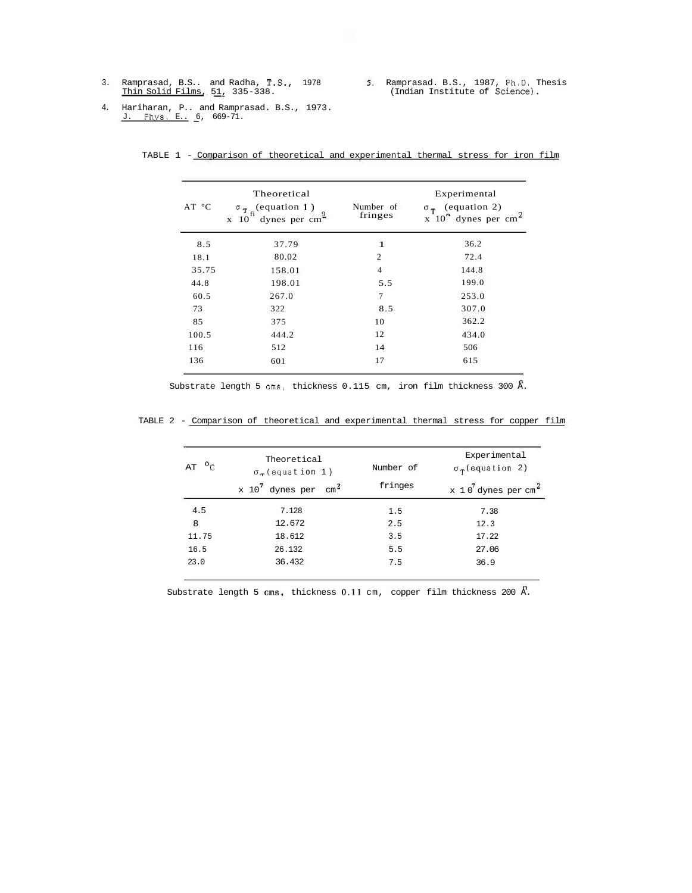3. Ramprasad, B.S.. and Radha, T.S., Thin Solid Films, 51, 335-338. 1978 Ramprasad. B.S., 1987, Ph.D, Thesis (Indian Institute of Science).

4. Hariharan, P.. and Ramprasad. B.S., 1973.<br><u>J. Phys. E.</u> 6, 669-71.

| AT °C | Theoretical<br>(equation 1)<br>$\sigma_{\rm T_c}$<br>dynes per cm <sup>2</sup><br>x 10 | Number of<br>fringes | Experimental<br>$\sigma_{\tau}$ (equation 2)<br>x $10^{2}$ dynes per cm <sup><math>\approx</math></sup> |
|-------|----------------------------------------------------------------------------------------|----------------------|---------------------------------------------------------------------------------------------------------|
| 8.5   | 37.79                                                                                  | 1                    | 36.2                                                                                                    |
| 18.1  | 80.02                                                                                  | $\mathfrak{2}$       | 72.4                                                                                                    |
| 35.75 | 158.01                                                                                 | $\overline{4}$       | 144.8                                                                                                   |
| 44.8  | 198.01                                                                                 | 5.5                  | 199.0                                                                                                   |
| 60.5  | 267.0                                                                                  | 7                    | 253.0                                                                                                   |
| 73    | 322                                                                                    | 8.5                  | 307.0                                                                                                   |
| 85    | 375                                                                                    | 10                   | 362.2                                                                                                   |
| 100.5 | 444.2                                                                                  | 12                   | 434.0                                                                                                   |
| 116   | 512                                                                                    | 14                   | 506                                                                                                     |
| 136   | 601                                                                                    | 17                   | 615                                                                                                     |

TABLE 1 - Comparison of theoretical and experimental thermal stress for iron film

Substrate length 5 cms, thickness 0.115 cm, iron film thickness 300 A.

|  |  |  |  |  |  |  | TABLE 2 - Comparison of theoretical and experimental thermal stress for copper film |  |  |  |  |  |
|--|--|--|--|--|--|--|-------------------------------------------------------------------------------------|--|--|--|--|--|
|--|--|--|--|--|--|--|-------------------------------------------------------------------------------------|--|--|--|--|--|

| $\mathfrak{o}_C$<br>AT | Theoretical<br>$\sigma_{\rm T}$ (equation 1) | Number of | Experimental<br>$\sigma_{\rm T}$ (equation 2) |  |  |
|------------------------|----------------------------------------------|-----------|-----------------------------------------------|--|--|
|                        | $\text{cm}^2$<br>x 10<br>dynes per           | fringes   | x 10 dynes per cm <sup>2</sup>                |  |  |
| 4.5                    | 7.128                                        | 1.5       | 7.38                                          |  |  |
| 8                      | 12.672                                       | 2.5       | 12.3                                          |  |  |
| 11.75                  | 18.612                                       | 3.5       | 17.22                                         |  |  |
| 16.5                   | 26.132                                       | 5.5       | 27.06                                         |  |  |
| 23.0                   | 36.432                                       | 7.5       | 36.9                                          |  |  |

Substrate length 5  $\text{cms}$ , thickness 0.11 cm, copper film thickness 200  $\Lambda$ .